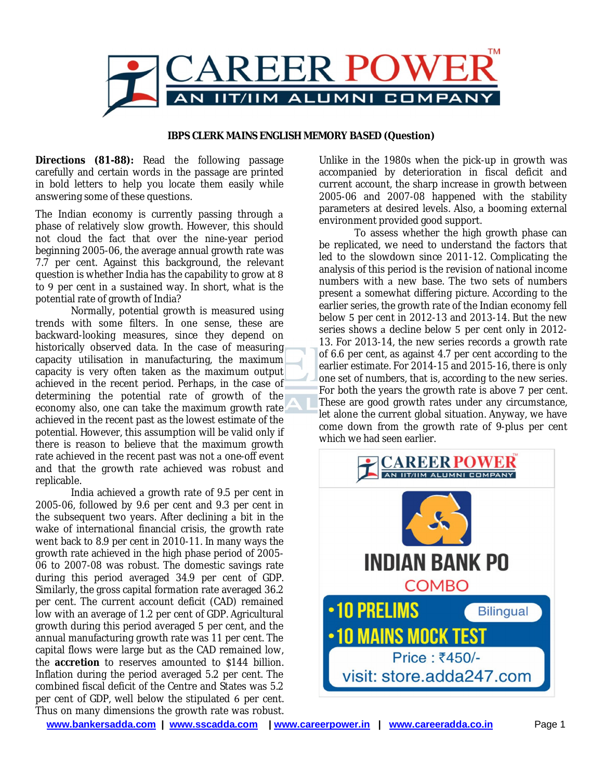

## **IBPS CLERK MAINS ENGLISH MEMORY BASED (Question)**

**Directions (81-88):** Read the following passage carefully and certain words in the passage are printed in bold letters to help you locate them easily while answering some of these questions.

The Indian economy is currently passing through a phase of relatively slow growth. However, this should not cloud the fact that over the nine-year period beginning 2005-06, the average annual growth rate was 7.7 per cent. Against this background, the relevant question is whether India has the capability to grow at  $8$ to 9 per cent in a sustained way. In short, what is the potential rate of growth of India?

Normally, potential growth is measured using trends with some filters. In one sense, these are backward-looking measures, since they depend on historically observed data. In the case of measuring capacity utilisation in manufacturing, the maximum capacity is very often taken as the maximum output achieved in the recent period. Perhaps, in the case of determining the potential rate of growth of the economy also, one can take the maximum growth rate achieved in the recent past as the lowest estimate of the potential. However, this assumption will be valid only if there is reason to believe that the maximum growth rate achieved in the recent past was not a one-off event and that the growth rate achieved was robust and replicable.

India achieved a growth rate of 9.5 per cent in 2005-06, followed by 9.6 per cent and 9.3 per cent in the subsequent two years. After declining a bit in the wake of international financial crisis, the growth rate went back to 8.9 per cent in 2010-11. In many ways the growth rate achieved in the high phase period of 2005- 06 to 2007-08 was robust. The domestic savings rate during this period averaged 34.9 per cent of GDP. Similarly, the gross capital formation rate averaged 36.2 per cent. The current account deficit (CAD) remained low with an average of 1.2 per cent of GDP. Agricultural growth during this period averaged 5 per cent, and the annual manufacturing growth rate was 11 per cent. The capital flows were large but as the CAD remained low, the **accretion** to reserves amounted to \$144 billion. Inflation during the period averaged 5.2 per cent. The combined fiscal deficit of the Centre and States was 5.2 per cent of GDP, well below the stipulated 6 per cent. Thus on many dimensions the growth rate was robust.

Unlike in the 1980s when the pick-up in growth was accompanied by deterioration in fiscal deficit and current account, the sharp increase in growth between 2005-06 and 2007-08 happened with the stability parameters at desired levels. Also, a booming external environment provided good support.

To assess whether the high growth phase can be replicated, we need to understand the factors that led to the slowdown since 2011-12. Complicating the analysis of this period is the revision of national income numbers with a new base. The two sets of numbers present a somewhat differing picture. According to the earlier series, the growth rate of the Indian economy fell below  $5$  per cent in 2012-13 and 2013-14. But the new series shows a decline below 5 per cent only in 2012-13. For 2013-14, the new series records a growth rate of 6.6 per cent, as against 4.7 per cent according to the earlier estimate. For 2014-15 and 2015-16, there is only one set of numbers, that is, according to the new series. For both the years the growth rate is above 7 per cent. These are good growth rates under any circumstance, let alone the current global situation. Anyway, we have come down from the growth rate of 9-plus per cent which we had seen earlier.



**www.bankersadda.com | www.sscadda.com | www.careerpower.in | www.careeradda.co.in** Page 1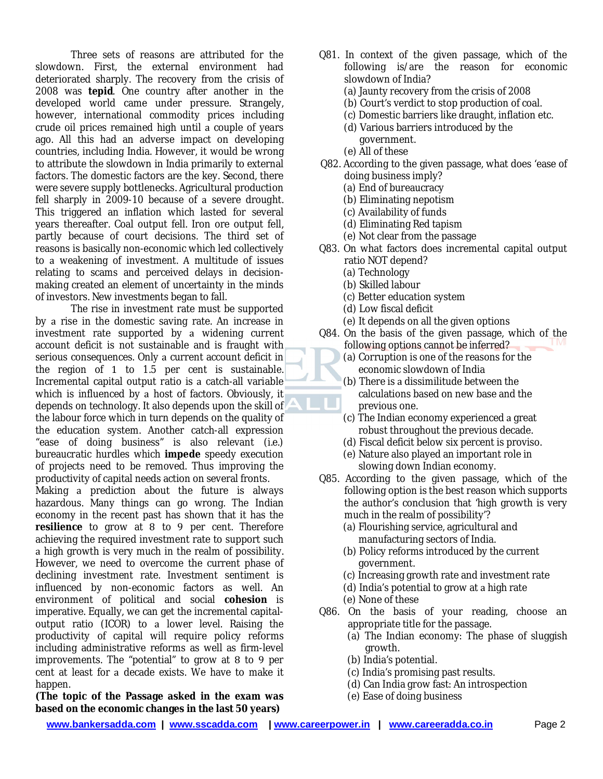Three sets of reasons are attributed for the slowdown. First, the external environment had deteriorated sharply. The recovery from the crisis of 2008 was tepid. One country after another in the developed world came under pressure. Strangely, however, international commodity prices including crude oil prices remained high until couple of years ago. All this had an adverse impact on developing countries, including India. However, it would be wrong to attribute the slowdown in India primarily to external factors. The domestic factors are the key. Second, there were severe supply bottlenecks. Agricultural production fell sharply in 2009-10 because of a severe drought. This triggered an inflation which lasted for several years thereafter. Coal output fell. Iron ore output fell, partly because of court decisions. The third set of reasons is basically non-economic which led collectively to a weakening of investment. A multitude of issues relating to scams and perceived delays in decisionmaking created an element of uncertainty in the minds of investors. New investments began to fall.

The rise in investment rate must be supported by a rise in the domestic saving rate. An increase in investment rate supported by a widening current account deficit is not sustainable and is fraught with serious consequences. Only a current account deficit in the region of  $1$  to  $1.5$  per cent is sustainable. Incremental capital output ratio is a catch-all variable which is influenced by a host of factors. Obviously, it depends on technology. It also depends upon the skill of the labour force which in turn depends on the quality of the education system. Another catch-all expression "ease of doing business" is also relevant (i.e.) bureaucratic hurdles which **impede** speedy execution of projects need to be removed. Thus improving the productivity of capital needs action on several fronts.

Making a prediction about the future is always hazardous. Many things can go wrong. The Indian economy in the recent past has shown that it has the resilience to grow at 8 to 9 per cent. Therefore achieving the required investment rate to support such a high growth is very much in the realm of possibility. However, we need to overcome the current phase of declining investment rate. Investment sentiment is influenced by non-economic factors as well. An environment of political and social **cohesion** is imperative. Equally, we can get the incremental capitaloutput ratio (ICOR) to a lower level. Raising the productivity of capital will require policy reforms including administrative reforms as well as firm-level improvements. The "potential" to grow at 8 to 9 per cent at least for a decade exists. We have to make it happen.

**(The topic of the Passage asked in the exam was based on the economic changes in the last 50 years)**

- Q81. In context of the given passage, which of the following is/are the reason for economic slowdown of India?
	- (a) Jaunty recovery from the crisis of 2008
	- (b) Court's verdict to stop production of coal.
	- (c) Domestic barriers like draught, inflation etc.
	- (d) Various barriers introduced by the government.
	- (e) All of these
- Q82. According to the given passage, what does 'ease of doing business imply?
	- (a) End of bureaucracy
	- (b) Eliminating nepotism
	- (c) Availability of funds
	- (d) Eliminating Red tapism
	- (e) Not clear from the passage
- Q83. On what factors does incremental capital output ratio NOT depend?
	- (a) Technology
	- (b) Skilled labour
	- (c) Better education system
	- (d) Low fiscal deficit
	- (e) It depends on all the given options
- Q84. On the basis of the given passage, which of the following options cannot be inferred?
	- (a) Corruption is one of the reasons for the economic slowdown of India
	- (b) There is a dissimilitude between the calculations based on new base and the previous one.
	- $(c)$  The Indian economy experienced a great robust throughout the previous decade.
	- (d) Fiscal deficit below six percent is proviso.
	- (e) Nature also played an important role in slowing down Indian economy.
- Q85. According to the given passage, which of the following option is the best reason which supports the author's conclusion that 'high growth is very much in the realm of possibility'?
	- (a) Flourishing service, agricultural and manufacturing sectors of India.
	- (b) Policy reforms introduced by the current government.
	- (c) Increasing growth rate and investment rate
	- $(d)$  India's potential to grow at a high rate
	- (e) None of these
- Q86. On the basis of your reading, choose an appropriate title for the passage.
	- (a) The Indian economy: The phase of sluggish growth.
	- (b) India's potential.
	- (c) India's promising past results.
	- (d) Can India grow fast: An introspection
	- (e) Ease of doing business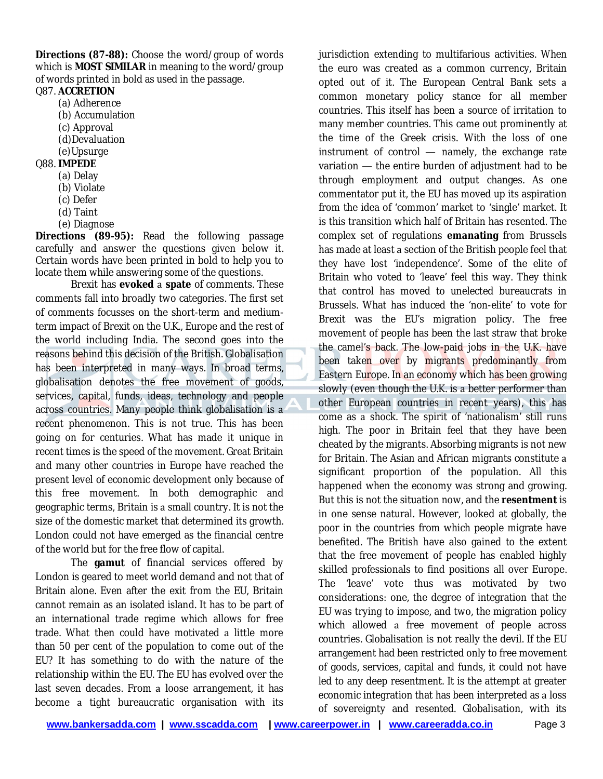**Directions (87-88):** Choose the word/group of words which is **MOST SIMILAR** in meaning to the word/group of words printed in bold as used in the passage.

Q87. **ACCRETION**

- (a) Adherence
- (b) Accumulation
- (c) Approval
- (d)Devaluation
- (e)Upsurge
- Q88. **IMPEDE**
	- (a) Delay
	- (b) Violate
	- (c) Defer
	- (d) Taint
	- (e) Diagnose

**Directions (89-95):** Read the following passage carefully and answer the questions given below it. Certain words have been printed in bold to help you to locate them while answering some of the questions.

Brexit has evoked a spate of comments. These comments fall into broadly two categories. The first set of comments focusses on the short-term and mediumterm impact of Brexit on the U.K., Europe and the rest of the world including India. The second goes into the reasons behind this decision of the British. Globalisation has been interpreted in many ways. In broad terms, globalisation denotes the free movement of goods, services, capital, funds, ideas, technology and people across countries. Many people think globalisation is recent phenomenon. This is not true. This has been going on for centuries. What has made it unique in recent times is the speed of the movement. Great Britain and many other countries in Europe have reached the present level of economic development only because of this free movement. In both demographic and geographic terms, Britain is a small country. It is not the size of the domestic market that determined its growth. London could not have emerged as the financial centre of the world but for the free flow of capital.

The **gamut** of financial services offered by London is geared to meet world demand and not that of Britain alone. Even after the exit from the EU, Britain cannot remain as an isolated island. It has to be part of an international trade regime which allows for free trade. What then could have motivated a little more than 50 per cent of the population to come out of the EU? It has something to do with the nature of the relationship within the EU. The EU has evolved over the last seven decades. From a loose arrangement, it has become a tight bureaucratic organisation with its

jurisdiction extending to multifarious activities. When the euro was created as a common currency, Britain opted out of it. The European Central Bank sets common monetary policy stance for all member countries. This itself has been a source of irritation to many member countries. This came out prominently at the time of the Greek crisis. With the loss of one instrument of control  $-$  namely, the exchange rate variation - the entire burden of adjustment had to be through employment and output changes. As one commentator put it, the EU has moved up its aspiration from the idea of 'common' market to 'single' market. It is this transition which half of Britain has resented. The complex set of regulations **emanating** from Brussels has made at least a section of the British people feel that they have lost 'independence'. Some of the elite of Britain who voted to 'leave' feel this way. They think that control has moved to unelected bureaucrats in Brussels. What has induced the 'non-elite' to vote for Brexit was the EU's migration policy. The free movement of people has been the last straw that broke the camel's back. The low-paid jobs in the U.K. have been taken over by migrants predominantly from Eastern Europe. In an economy which has been growing slowly (even though the U.K. is a better performer than other European countries in recent years), this has come as a shock. The spirit of 'nationalism' still runs high. The poor in Britain feel that they have been cheated by the migrants. Absorbing migrants is not new for Britain. The Asian and African migrants constitute significant proportion of the population. All this happened when the economy was strong and growing. But this is not the situation now, and the **resentment** is in one sense natural. However, looked at globally, the poor in the countries from which people migrate have benefited. The British have also gained to the extent that the free movement of people has enabled highly skilled professionals to find positions all over Europe. The 'leave' vote thus was motivated by two considerations: one, the degree of integration that the EU was trying to impose, and two, the migration policy which allowed a free movement of people across countries. Globalisation is not really the devil. If the EU arrangement had been restricted only to free movement of goods, services, capital and funds, it could not have led to any deep resentment. It is the attempt at greater economic integration that has been interpreted as a loss of sovereignty and resented. Globalisation, with its

**www.bankersadda.com | www.sscadda.com | www.careerpower.in | www.careeradda.co.in** Page 3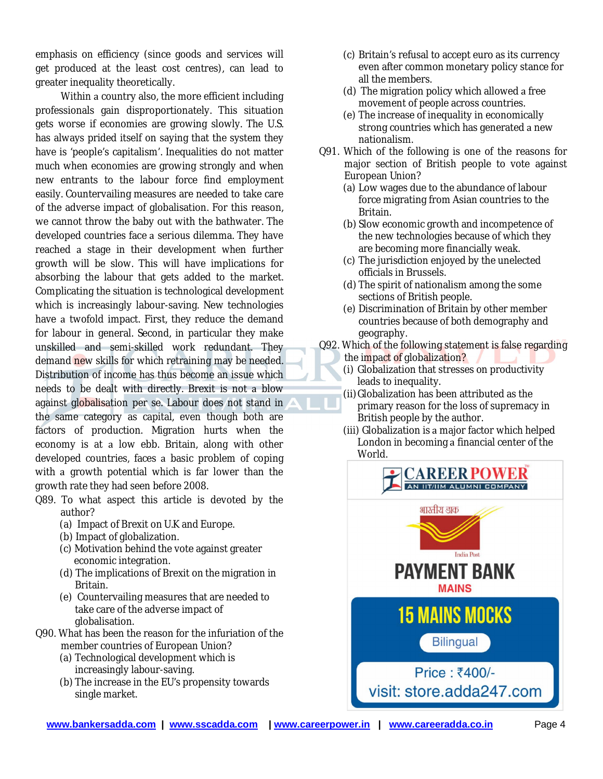emphasis on efficiency (since goods and services will get produced at the least cost centres), can lead to greater inequality theoretically.

Within a country also, the more efficient including professionals gain disproportionately. This situation gets worse if economies are growing slowly. The U.S. has always prided itself on saying that the system they have is 'people's capitalism'. Inequalities do not matter much when economies are growing strongly and when new entrants to the labour force find employment easily. Countervailing measures are needed to take care of the adverse impact of globalisation. For this reason, we cannot throw the baby out with the bathwater. The developed countries face a serious dilemma. They have reached a stage in their development when further growth will be slow. This will have implications for absorbing the labour that gets added to the market. Complicating the situation is technological development which is increasingly labour-saving. New technologies have a twofold impact. First, they reduce the demand for labour in general. Second, in particular they make unskilled and semi-skilled work redundant. They demand new skills for which retraining may be needed. Distribution of income has thus become an issue which needs to be dealt with directly. Brexit is not a blow against globalisation per se. Labour does not stand in the same category as capital, even though both are factors of production. Migration hurts when the economy is at a low ebb. Britain, along with other developed countries, faces a basic problem of coping with a growth potential which is far lower than the growth rate they had seen before 2008.

- Q89. To what aspect this article is devoted by the author?
	- (a) Impact of Brexit on U.K and Europe.
	- (b) Impact of globalization.
	- (c) Motivation behind the vote against greater economic integration.
	- (d) The implications of Brexit on the migration in Britain.
	- (e) Countervailing measures that are needed to take care of the adverse impact of globalisation.
- Q90. What has been the reason for the infuriation of the member countries of European Union?
	- (a) Technological development which is increasingly labour-saving.
	- (b) The increase in the EU's propensity towards single market.
- (c) Britain's refusal to accept euro as its currency even after common monetary policy stance for all the members.
- $(d)$  The migration policy which allowed a free movement of people across countries.
- (e) The increase of inequality in economically strong countries which has generated a new nationalism.
- Q91. Which of the following is one of the reasons for major section of British people to vote against European Union?
	- (a) Low wages due to the abundance of labour force migrating from Asian countries to the Britain.
	- (b) Slow economic growth and incompetence of the new technologies because of which they are becoming more financially weak.
	- (c) The jurisdiction enjoyed by the unelected officials in Brussels.
	- (d) The spirit of nationalism among the some sections of British people.
	- (e) Discrimination of Britain by other member countries because of both demography and geography.
- Q92. Which of the following statement is false regarding
	- the impact of globalization? (i) Globalization that stresses on productivity leads to inequality.
	- (ii)Globalization has been attributed as the primary reason for the loss of supremacy in British people by the author.
	- (iii) Globalization is a major factor which helped London in becoming a financial center of the World.

![](_page_3_Picture_24.jpeg)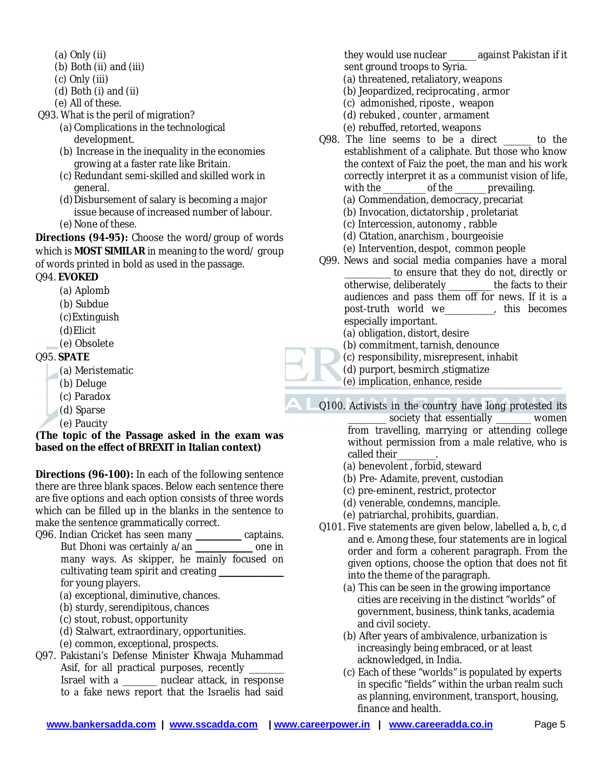- (a) Only (ii)
- (b) Both (ii) and (iii)
- (c) Only (iii)
- (d) Both (i) and (ii)
- (e) All of these.

Q93. What is the peril of migration?

- (a) Complications in the technological development.
- (b) Increase in the inequality in the economies growing at a faster rate like Britain.
- (c) Redundant semi-skilled and skilled work in general.
- (d) Disbursement of salary is becoming a major issue because of increased number of labour.
- (e) None of these.

**Directions (94-95):** Choose the word/group of words which is **MOST SIMILAR** in meaning to the word/ group of words printed in bold as used in the passage.

Q94. **EVOKED**

- (a) Aplomb
- (b) Subdue
- (c)Extinguish
- (d)Elicit
- (e) Obsolete

Q95. **SPATE**

- (a) Meristematic
- (b) Deluge
- (c) Paradox
- (d) Sparse
- (e) Paucity

**(The topic of the Passage asked in the exam was based on the effect of BREXIT in Italian context)**

**Directions (96-100):** In each of the following sentence there are three blank spaces. Below each sentence there are five options and each option consists of three words which can be filled up in the blanks in the sentence to make the sentence grammatically correct.

Q96. Indian Cricket has seen many **\_\_\_\_\_\_\_\_\_\_\_\_** captains. But Dhoni was certainly a/an **\_\_\_\_\_\_\_\_\_\_\_\_\_\_\_** one in many ways. As skipper, he mainly focused on cultivating team spirit and creating **\_\_\_\_\_\_\_\_\_\_\_\_\_\_\_\_\_** for young players.

- (a) exceptional, diminutive, chances.
- (b) sturdy, serendipitous, chances
- (c) stout, robust, opportunity
- (d) Stalwart, extraordinary, opportunities.
- (e) common, exceptional, prospects.
- Q97. Pakistani's Defense Minister Khwaja Muhammad Asif, for all practical purposes, recently \_\_\_\_\_\_ Israel with a \_\_\_\_\_\_\_ nuclear attack, in response to a fake news report that the Israelis had said

they would use nuclear \_\_\_\_\_\_\_ against Pakistan if it sent ground troops to Syria.

- (a) threatened, retaliatory, weapons
- (b) Jeopardized, reciprocating, armor
- (c) admonished, riposte, weapon
- (d) rebuked, counter, armament
- (e) rebuffed, retorted, weapons
- Q98. The line seems to be a direct \_\_\_\_\_ to the establishment of a caliphate. But those who know the context of Faiz the poet, the man and his work correctly interpret it as a communist vision of life, with the \_\_\_\_\_\_\_\_\_\_ of the \_\_\_\_\_\_\_ prevailing.
	- (a) Commendation, democracy, precariat
	- (b) Invocation, dictatorship, proletariat
	- (c) Intercession, autonomy, rabble
	- (d) Citation, anarchism, bourgeoisie
	- (e) Intervention, despot, common people
- Q99. News and social media companies have a moral to ensure that they do not, directly or otherwise, deliberately \_\_\_\_\_\_\_\_\_\_\_ the facts to their audiences and pass them off for news. If it is post-truth world we\_\_\_\_\_\_\_\_\_\_\_\_\_, this becomes especially important.

(a) obligation, distort, desire

- (b) commitment, tarnish, denounce
- (c) responsibility, misrepresent, inhabit
- (d) purport, besmirch ,stigmatize
- (e) implication, enhance, reside

Q100. Activists in the country have long protested its

- \_\_\_\_\_\_\_\_\_\_ society that essentially \_\_\_\_\_\_\_\_\_ women from travelling, marrying or attending college without permission from a male relative, who is called their
- (a) benevolent, forbid, steward
- (b) Pre- Adamite, prevent, custodian
- (c) pre-eminent, restrict, protector
- (d) venerable, condemns, manciple.
- (e) patriarchal, prohibits, guardian.
- Q101. Five statements are given below, labelled a, b, c, d and e. Among these, four statements are in logical order and form a coherent paragraph. From the given options, choose the option that does not fit into the theme of the paragraph.
	- (a) This can be seen in the growing importance cities are receiving in the distinct "worlds" of government, business, think tanks, academia and civil society.
	- (b) After years of ambivalence, urbanization is increasingly being embraced, or at least acknowledged, in India.
	- (c) Each of these "worlds" is populated by experts in specific "fields" within the urban realm such as planning, environment, transport, housing, finance and health.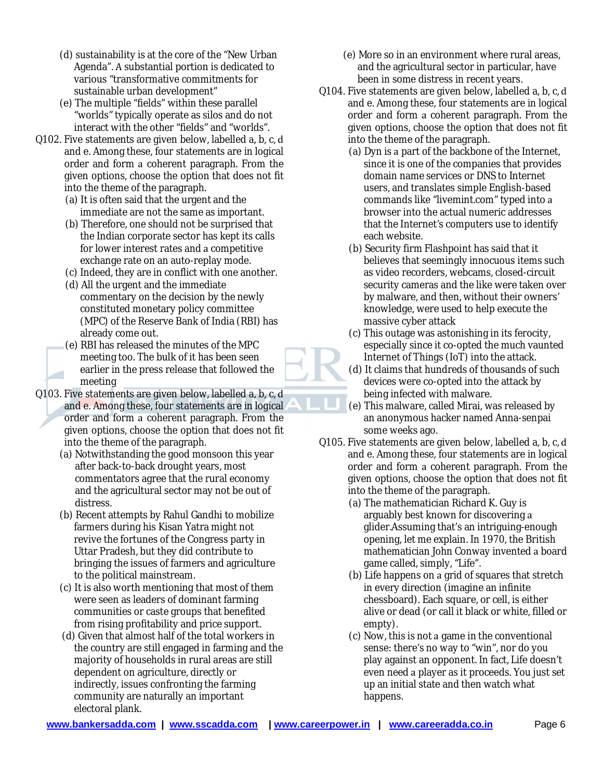- (d) sustainability is at the core of the "New Urban Agenda". A substantial portion is dedicated to various "transformative commitments for sustainable urban development"
- (e) The multiple "fields" within these parallel "worlds" typically operate as silos and do not interact with the other "fields" and "worlds".
- Q102. Five statements are given below, labelled a, b, c, d and e. Among these, four statements are in logical order and form a coherent paragraph. From the given options, choose the option that does not fit into the theme of the paragraph.
	- (a) It is often said that the urgent and the immediate are not the same as important.
	- (b) Therefore, one should not be surprised that the Indian corporate sector has kept its calls for lower interest rates and a competitive exchange rate on an auto-replay mode.
	- (c) Indeed, they are in conflict with one another.
	- (d) All the urgent and the immediate commentary on the decision by the newly constituted monetary policy committee (MPC) of the Reserve Bank of India (RBI) has already come out.
	- (e) RBI has released the minutes of the MPC meeting too. The bulk of it has been seen earlier in the press release that followed the meeting
- Q103. Five statements are given below, labelled a, b, c, d and e. Among these, four statements are in logical. order and form a coherent paragraph. From the given options, choose the option that does not fit into the theme of the paragraph.
	- (a) Notwithstanding the good monsoon this year after back-to-back drought years, most commentators agree that the rural economy and the agricultural sector may not be out of distress.
	- (b) Recent attempts by Rahul Gandhi to mobilize farmers during his Kisan Yatra might not revive the fortunes of the Congress party in Uttar Pradesh, but they did contribute to bringing the issues of farmers and agriculture to the political mainstream.
	- (c) It is also worth mentioning that most of them were seen as leaders of dominant farming communities or caste groups that benefited from rising profitability and price support.
	- (d) Given that almost half of the total workers in the country are still engaged in farming and the majority of households in rural areas are still dependent on agriculture, directly or indirectly, issues confronting the farming community are naturally an important electoral plank.
- (e) More so in an environment where rural areas, and the agricultural sector in particular, have been in some distress in recent years.
- Q104. Five statements are given below, labelled a, b, c, d and e. Among these, four statements are in logical order and form a coherent paragraph. From the given options, choose the option that does not fit into the theme of the paragraph.
	- (a) Dyn is a part of the backbone of the Internet, since it is one of the companies that provides domain name services or DNS to Internet users, and translates simple English-based commands like "livemint.com" typed into browser into the actual numeric addresses that the Internet's computers use to identify each website.
	- (b) Security firm Flashpoint has said that it believes that seemingly innocuous items such as video recorders, webcams, closed-circuit security cameras and the like were taken over by malware, and then, without their owners' knowledge, were used to help execute the massive cyber attack
	- (c) This outage was astonishing in its ferocity, especially since it co-opted the much vaunted Internet of Things (IoT) into the attack.
	- (d) It claims that hundreds of thousands of such devices were co-opted into the attack by being infected with malware.
	- (e) This malware, called Mirai, was released by an anonymous hacker named Anna-senpai some weeks ago.
- Q105. Five statements are given below, labelled a, b, c, d and e. Among these, four statements are in logical order and form a coherent paragraph. From the given options, choose the option that does not fit into the theme of the paragraph.
	- (a) The mathematician Richard K. Guy is arguably best known for discovering glider.Assuming that's an intriguing-enough opening, let me explain. In 1970, the British mathematician John Conway invented a board game called, simply, "Life".
	- (b) Life happens on a grid of squares that stretch in every direction (imagine an infinite chessboard). Each square, or cell, is either alive or dead (or call it black or white, filled or empty).
	- (c) Now, this is not a game in the conventional sense: there's no way to "win", nor do you play against an opponent. In fact, Life doesn't even need a player as it proceeds. You just set up an initial state and then watch what happens.

**www.bankersadda.com | www.sscadda.com | www.careerpower.in | www.careeradda.co.in** Page 6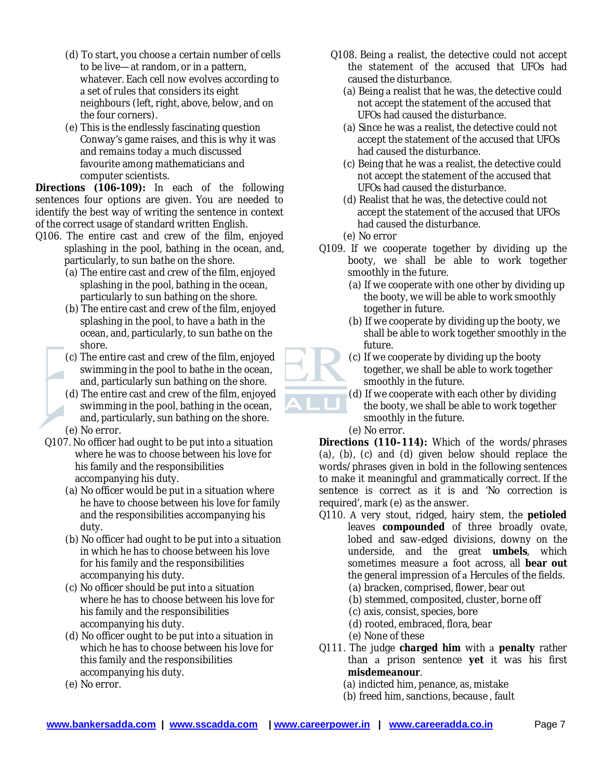- (d) To start, you choose a certain number of cells to be live—at random, or in a pattern, whatever. Each cell now evolves according to a set of rules that considers its eight neighbours (left, right, above, below, and on the four corners).
- (e) This is the endlessly fascinating question Conway's game raises, and this is why it was and remains today a much discussed favourite among mathematicians and computer scientists.

**Directions (106-109):** In each of the following sentences four options are given. You are needed to identify the best way of writing the sentence in context of the correct usage of standard written English.

- Q106. The entire cast and crew of the film, enjoyed splashing in the pool, bathing in the ocean, and, particularly, to sun bathe on the shore.
	- (a) The entire cast and crew of the film, enjoyed splashing in the pool, bathing in the ocean, particularly to sun bathing on the shore.
	- (b) The entire cast and crew of the film, enjoyed splashing in the pool, to have a bath in the ocean, and, particularly, to sun bathe on the shore.
	- (c) The entire cast and crew of the film, enjoyed swimming in the pool to bathe in the ocean, and, particularly sun bathing on the shore.
	- (d) The entire cast and crew of the film, enjoyed swimming in the pool, bathing in the ocean, and, particularly, sun bathing on the shore. (e) No error.
	- Q107. No officer had ought to be put into a situation where he was to choose between his love for his family and the responsibilities accompanying his duty.
		- $(a)$  No officer would be put in a situation where he have to choose between his love for family and the responsibilities accompanying his duty.
		- $(b)$  No officer had ought to be put into a situation in which he has to choose between his love for his family and the responsibilities accompanying his duty.
		- (c) No officer should be put into a situation where he has to choose between his love for his family and the responsibilities accompanying his duty.
		- $(d)$  No officer ought to be put into a situation in which he has to choose between his love for this family and the responsibilities accompanying his duty.
		- (e) No error.
- Q108. Being a realist, the detective could not accept the statement of the accused that UFOs had caused the disturbance.
	- (a) Being a realist that he was, the detective could not accept the statement of the accused that UFOs had caused the disturbance.
	- (a) Since he was a realist, the detective could not accept the statement of the accused that UFOs had caused the disturbance.
	- (c) Being that he was a realist, the detective could not accept the statement of the accused that UFOs had caused the disturbance.
	- (d) Realist that he was, the detective could not accept the statement of the accused that UFOs had caused the disturbance.
	- (e) No error
- Q109. If we cooperate together by dividing up the booty, we shall be able to work together smoothly in the future.
	- (a) If we cooperate with one other by dividing up the booty, we will be able to work smoothly together in future.
	- (b) If we cooperate by dividing up the booty, we shall be able to work together smoothly in the future.
	- (c) If we cooperate by dividing up the booty together, we shall be able to work together smoothly in the future.
	- (d) If we cooperate with each other by dividing the booty, we shall be able to work together smoothly in the future.
	- (e) No error.

**Directions (110–114):** Which of the words/phrases (a), (b), (c) and (d) given below should replace the words/phrases given in bold in the following sentences to make it meaningful and grammatically correct. If the sentence is correct as it is and 'No correction is required', mark (e) as the answer.

- Q110. A very stout, ridged, hairy stem, the petioled leaves **compounded** of three broadly ovate, lobed and saw-edged divisions, downy on the underside, and the great umbels, which sometimes measure foot across, all **bear out** the general impression of a Hercules of the fields.
	- (a) bracken, comprised, flower, bear out
	- (b) stemmed, composited, cluster, borne off
	- (c) axis, consist, species, bore
	- (d) rooted, embraced, flora, bear
	- (e) None of these
- Q111. The judge **charged him** with **penalty** rather than prison sentence **yet** it was his first misdemeanour.
	- (a) indicted him, penance, as, mistake
	- (b) freed him, sanctions, because, fault

![](_page_6_Picture_37.jpeg)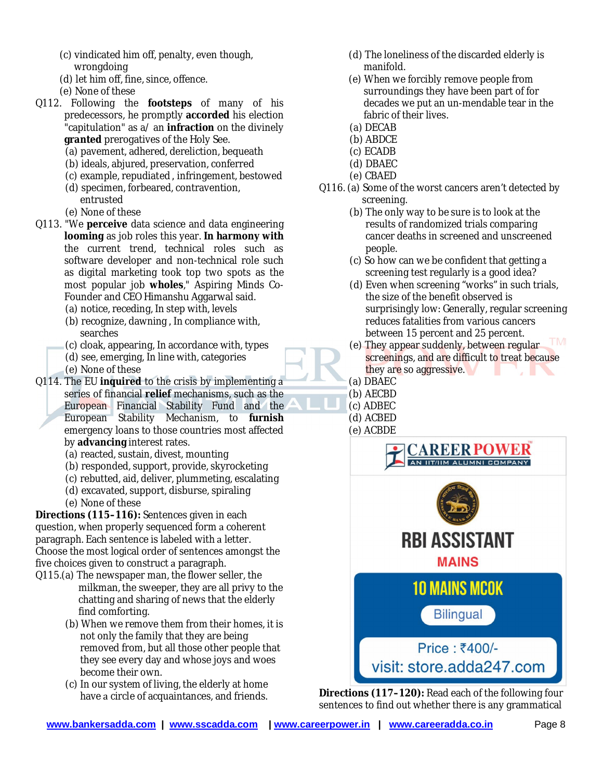- (c) vindicated him off, penalty, even though, wrongdoing
- (d) let him off, fine, since, offence.
- (e) None of these
- Q112. Following the **footsteps** of many of his predecessors, he promptly **accorded** his election "capitulation" as a/ an **infraction** on the divinely **granted** prerogatives of the Holy See.
	- (a) pavement, adhered, dereliction, bequeath
	- (b) ideals, abjured, preservation, conferred
	- (c) example, repudiated, infringement, bestowed
	- (d) specimen, forbeared, contravention,
	- entrusted
	- (e) None of these
- Q113. "We **perceive** data science and data engineering **looming** as job roles this year. **In harmony with** the current trend, technical roles such as software developer and non-technical role such as digital marketing took top two spots as the most popular job **wholes**," Aspiring Minds Co-Founder and CEO Himanshu Aggarwal said.
	- (a) notice, receding, In step with, levels
	- (b) recognize, dawning, In compliance with, searches
	- (c) cloak, appearing, In accordance with, types
	- (d) see, emerging, In line with, categories
	- (e) None of these
- Q114. The EU **inquired** to the crisis by implementing series of financial **relief** mechanisms, such as the European Financial Stability Fund and the European Stability Mechanism, to **furnish** emergency loans to those countries most affected by **advancing** interest rates.
	- (a) reacted, sustain, divest, mounting
	- (b) responded, support, provide, skyrocketing
	- (c) rebutted, aid, deliver, plummeting, escalating
	- (d) excavated, support, disburse, spiraling
	- (e) None of these

**Directions (115–116):** Sentences given in each question, when properly sequenced form a coherent paragraph. Each sentence is labeled with a letter. Choose the most logical order of sentences amongst the five choices given to construct a paragraph.

- Q115.(a) The newspaper man, the flower seller, the milkman, the sweeper, they are all privy to the chatting and sharing of news that the elderly find comforting.
	- (b) When we remove them from their homes, it is not only the family that they are being removed from, but all those other people that they see every day and whose joys and woes become their own.
	- (c) In our system of living, the elderly at home have a circle of acquaintances, and friends.
- (d) The loneliness of the discarded elderly is manifold.
- (e) When we forcibly remove people from surroundings they have been part of for decades we put an un-mendable tear in the fabric of their lives.
- (a) DECAB
- (b) ABDCE
- (c) ECADB
- (d) DBAEC
- (e) CBAED
- Q116. (a) Some of the worst cancers aren't detected by screening.
	- (b) The only way to be sure is to look at the results of randomized trials comparing cancer deaths in screened and unscreened people.
	- (c) So how can we be confident that getting screening test regularly is a good idea?
	- (d) Even when screening "works" in such trials, the size of the benefit observed is surprisingly low: Generally, regular screening reduces fatalities from various cancers between 15 percent and 25 percent.
	- (e) They appear suddenly, between regular screenings, and are difficult to treat because they are so aggressive.
	- (a) DBAEC
	- (b) AECBD
	- (c) ADBEC
	- (d) ACBED
	- (e) ACBDE

![](_page_7_Picture_43.jpeg)

**Directions (117–120):** Read each of the following four sentences to find out whether there is any grammatical